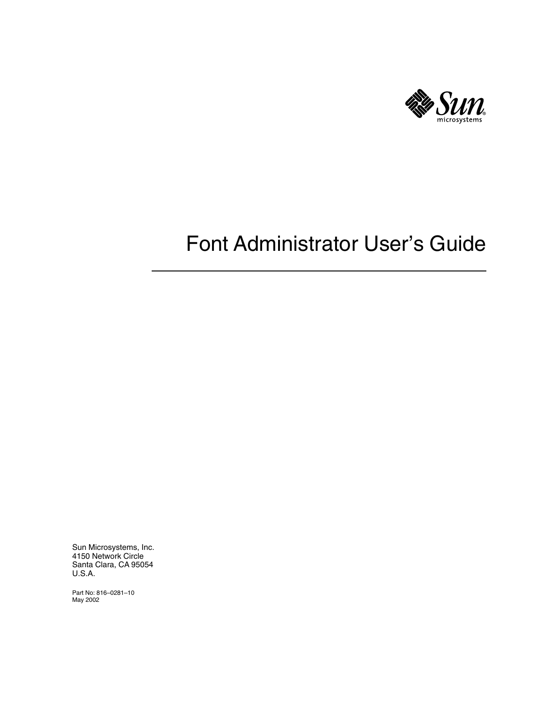

# Font Administrator User's Guide

Sun Microsystems, Inc. 4150 Network Circle Santa Clara, CA 95054 U.S.A.

Part No: 816–0281–10 May 2002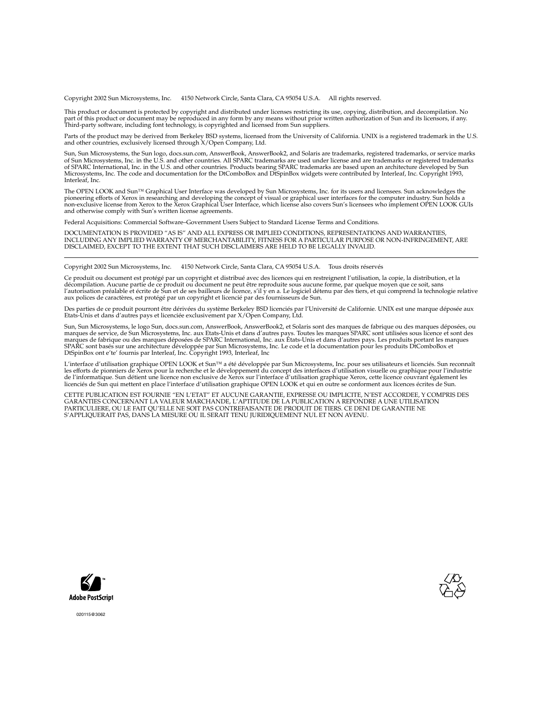Copyright 2002 Sun Microsystems, Inc. 4150 Network Circle, Santa Clara, CA 95054 U.S.A. All rights reserved.

This product or document is protected by copyright and distributed under licenses restricting its use, copying, distribution, and decompilation. No part of this product or document may be reproduced in any form by any means without prior written authorization of Sun and its licensors, if any.<br>Third-party software, including font technology, is copyrighted and licensed

Parts of the product may be derived from Berkeley BSD systems, licensed from the University of California. UNIX is a registered trademark in the U.S. and other countries, exclusively licensed through X/Open Company, Ltd.

Sun, Sun Microsystems, the Sun logo, docs.sun.com, AnswerBook, AnswerBook2, and Solaris are trademarks, registered trademarks, or service marks<br>of Sun Microsystems, Inc. in the U.S. and other countries. All SPARC trademark Microsystems, Inc. The code and documentation for the DtComboBox and DtSpinBox widgets were contributed by Interleaf, Inc. Copyright 1993, Interleaf, Inc.

The OPEN LOOK and Sun™ Graphical User Interface was developed by Sun Microsystems, Inc. for its users and licensees. Sun acknowledges the pioneering efforts of Xerox in researching and developing the concept of visual or graphical user interfaces for the computer industry. Sun holds a<br>non-exclusive license from Xerox to the Xerox Graphical User Interface, wh and otherwise comply with Sun's written license agreements.

Federal Acquisitions: Commercial Software–Government Users Subject to Standard License Terms and Conditions.

DOCUMENTATION IS PROVIDED "AS IS" AND ALL EXPRESS OR IMPLIED CONDITIONS, REPRESENTATIONS AND WARRANTIES,<br>INCLUDING ANY IMPLIED WARRANTY OF MERCHANTABILITY, FITNESS FOR A PARTICULAR PURPOSE OR NON-INFRINGEMENT, ARE<br>DISCLAIM

Copyright 2002 Sun Microsystems, Inc. 4150 Network Circle, Santa Clara, CA 95054 U.S.A. Tous droits réservés

Ce produit ou document est protégé par un copyright et distribué avec des licences qui en restreignent l'utilisation, la copie, la distribution, et la décompilation. Aucune partie de ce produit ou document ne peut être reproduite sous aucune forme, par quelque moyen que ce soit, sans<br>l'autorisation préalable et écrite de Sun et de ses bailleurs de licence, s'il y en a. L

Des parties de ce produit pourront être dérivées du système Berkeley BSD licenciés par l'Université de Californie. UNIX est une marque déposée aux Etats-Unis et dans d'autres pays et licenciée exclusivement par X/Open Company, Ltd.

Sun, Sun Microsystems, le logo Sun, docs.sun.com, AnswerBook, AnswerBook2, et Solaris sont des marques de fabrique ou des marques déposées, ou<br>marques de service, de Sun Microsystems, Inc. aux Etats-Unis et dans d'autres p SPARC sont basés sur une architecture développée par Sun Microsystems, Inc. Le code et la documentation pour les produits DtComboBox et DtSpinBox ont e'te' fournis par Interleaf, Inc. Copyright 1993, Interleaf, Inc

L'interface d'utilisation graphique OPEN LOOK et Sun™ a été développée par Sun Microsystems, Inc. pour ses utilisateurs et licenciés. Sun reconnaît les efforts de pionniers de Xerox pour la recherche et le développement du concept des interfaces d'utilisation visuelle ou graphique pour l'industrie<br>de l'informatique. Sun détient une licence non exclusive de Xerox sur l

CETTE PUBLICATION EST FOURNIE "EN L'ETAT" ET AUCUNE GARANTIE, EXPRESSE OU IMPLICITE, N'EST ACCORDEE, Y COMPRIS DES<br>GARANTIES CONCERNANT LA VALEUR MARCHANDE, L'APTITUDE DE LA PUBLICATION A REPONDRE A UNE UTILISATION<br>PARTICU S'APPLIQUERAIT PAS, DANS LA MESURE OU IL SERAIT TENU JURIDIQUEMENT NUL ET NON AVENU.





020115@3062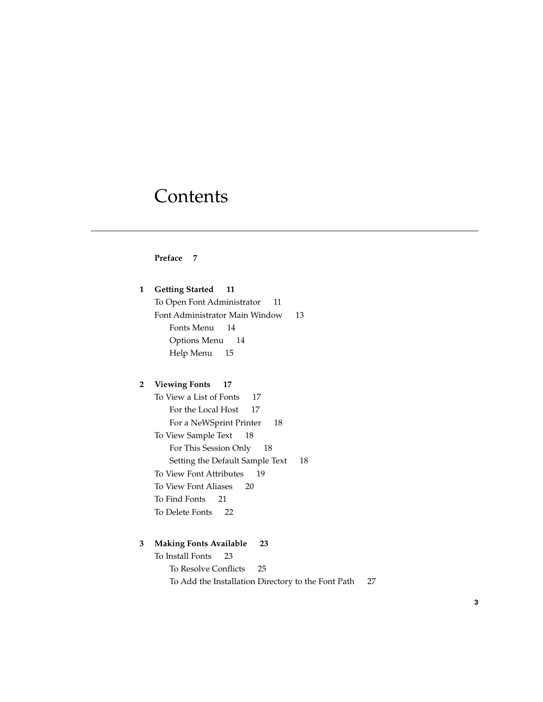## **Contents**

#### **Preface 7**

**1 Getting Started 11** To Open Font Administrator 11 Font Administrator Main Window 13 Fonts Menu 14 Options Menu 14 Help Menu 15

#### **2 Viewing Fonts 17**

To View a List of Fonts 17 For the Local Host 17 For a NeWSprint Printer 18 To View Sample Text 18 For This Session Only 18 Setting the Default Sample Text 18 To View Font Attributes 19 To View Font Aliases 20 To Find Fonts 21 To Delete Fonts 22

#### **3 Making Fonts Available 23**

To Install Fonts 23 To Resolve Conflicts 25 To Add the Installation Directory to the Font Path 27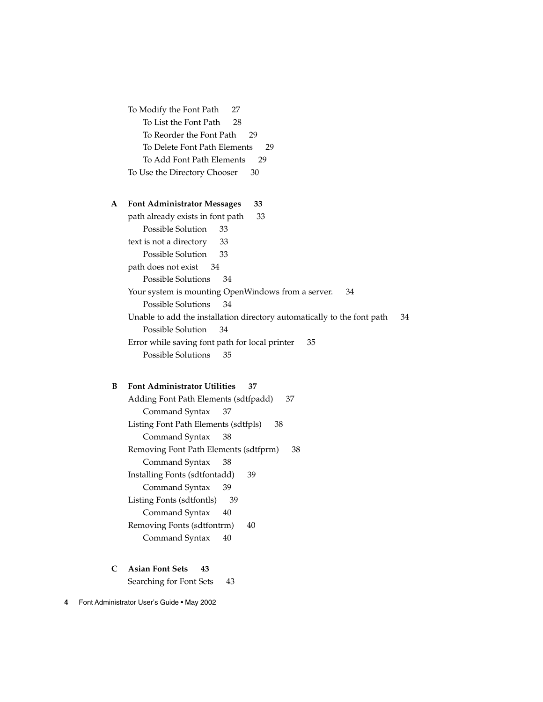To Modify the Font Path 27 To List the Font Path 28 To Reorder the Font Path 29 To Delete Font Path Elements 29 To Add Font Path Elements 29 To Use the Directory Chooser 30

#### **A Font Administrator Messages 33**

path already exists in font path 33 Possible Solution 33 text is not a directory 33 Possible Solution 33 path does not exist 34 Possible Solutions 34 Your system is mounting OpenWindows from a server. 34 Possible Solutions 34 Unable to add the installation directory automatically to the font path 34 Possible Solution 34 Error while saving font path for local printer 35 Possible Solutions 35

#### **B Font Administrator Utilities 37**

Adding Font Path Elements (sdtfpadd) 37 Command Syntax 37 Listing Font Path Elements (sdtfpls) 38 Command Syntax 38 Removing Font Path Elements (sdtfprm) 38 Command Syntax 38 Installing Fonts (sdtfontadd) 39 Command Syntax 39 Listing Fonts (sdtfontls) 39 Command Syntax 40 Removing Fonts (sdtfontrm) 40 Command Syntax 40

#### **C Asian Font Sets 43**

Searching for Font Sets 43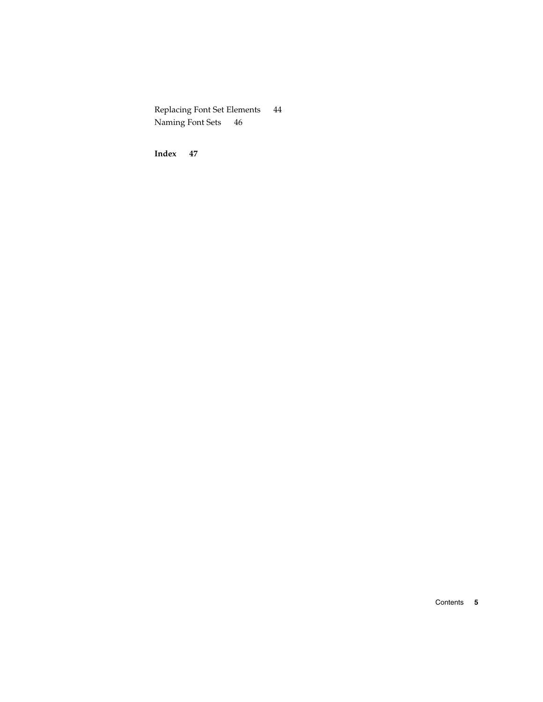Replacing Font Set Elements 44 Naming Font Sets 46

**Index 47**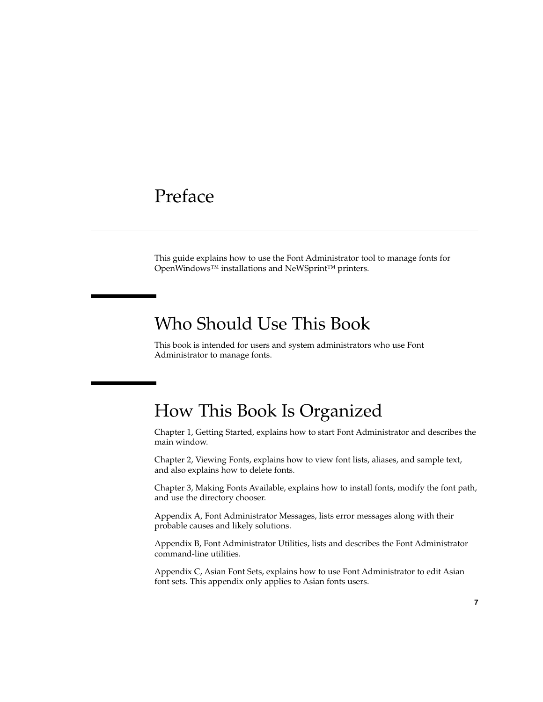### Preface

This guide explains how to use the Font Administrator tool to manage fonts for OpenWindows™ installations and NeWSprint™ printers.

### Who Should Use This Book

This book is intended for users and system administrators who use Font Administrator to manage fonts.

### How This Book Is Organized

Chapter 1, Getting Started, explains how to start Font Administrator and describes the main window.

Chapter 2, Viewing Fonts, explains how to view font lists, aliases, and sample text, and also explains how to delete fonts.

Chapter 3, Making Fonts Available, explains how to install fonts, modify the font path, and use the directory chooser.

Appendix A, Font Administrator Messages, lists error messages along with their probable causes and likely solutions.

Appendix B, Font Administrator Utilities, lists and describes the Font Administrator command-line utilities.

Appendix C, Asian Font Sets, explains how to use Font Administrator to edit Asian font sets. This appendix only applies to Asian fonts users.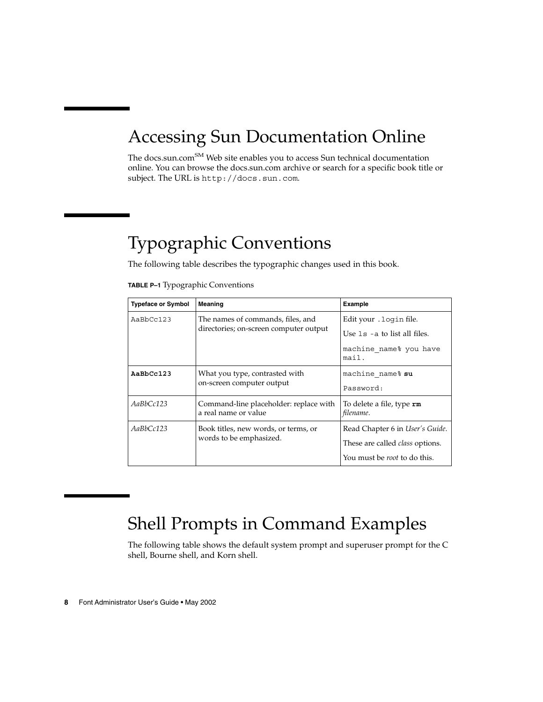# Accessing Sun Documentation Online

The docs.sun.com<sup>SM</sup> Web site enables you to access Sun technical documentation online. You can browse the docs.sun.com archive or search for a specific book title or subject. The URL is http://docs.sun.com.

# Typographic Conventions

The following table describes the typographic changes used in this book.

| TABLE P-1 Typographic Conventions |  |  |  |
|-----------------------------------|--|--|--|
|-----------------------------------|--|--|--|

| <b>Typeface or Symbol</b> | <b>Meaning</b>                                                 | Example                                       |
|---------------------------|----------------------------------------------------------------|-----------------------------------------------|
| AaBbCc123                 | The names of commands, files, and                              | Edit your . login file.                       |
|                           | directories; on-screen computer output                         | Use $1s - a$ to list all files.               |
|                           |                                                                | machine name% you have<br>mail.               |
| AaBbCc123                 | What you type, contrasted with                                 | machine name% su                              |
|                           | on-screen computer output                                      | Password:                                     |
| AaBbCc123                 | Command-line placeholder: replace with<br>a real name or value | To delete a file, type <b>rm</b><br>filename. |
| AaBbCc123                 | Book titles, new words, or terms, or                           | Read Chapter 6 in User's Guide.               |
|                           | words to be emphasized.                                        | These are called <i>class</i> options.        |
|                           |                                                                | You must be <i>root</i> to do this.           |

### Shell Prompts in Command Examples

The following table shows the default system prompt and superuser prompt for the C shell, Bourne shell, and Korn shell.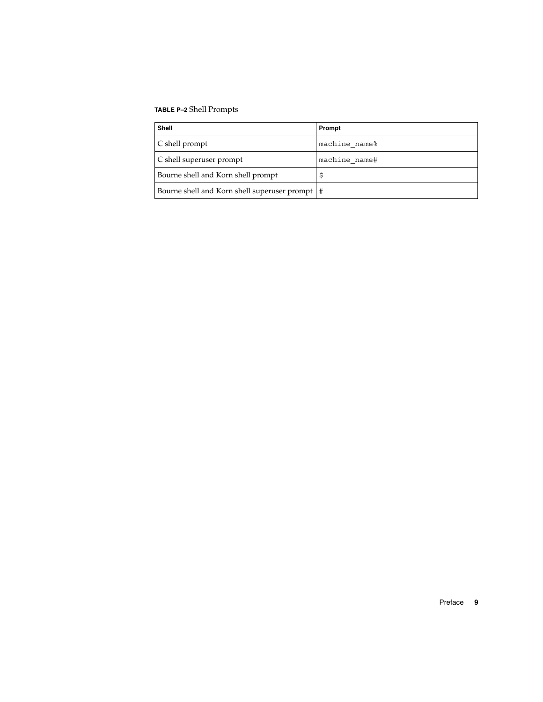#### **TABLE P–2** Shell Prompts

| <b>Shell</b>                                     | Prompt        |
|--------------------------------------------------|---------------|
| $\mid$ C shell prompt                            | machine name% |
| C shell superuser prompt                         | machine name# |
| Bourne shell and Korn shell prompt               |               |
| Bourne shell and Korn shell superuser prompt   # |               |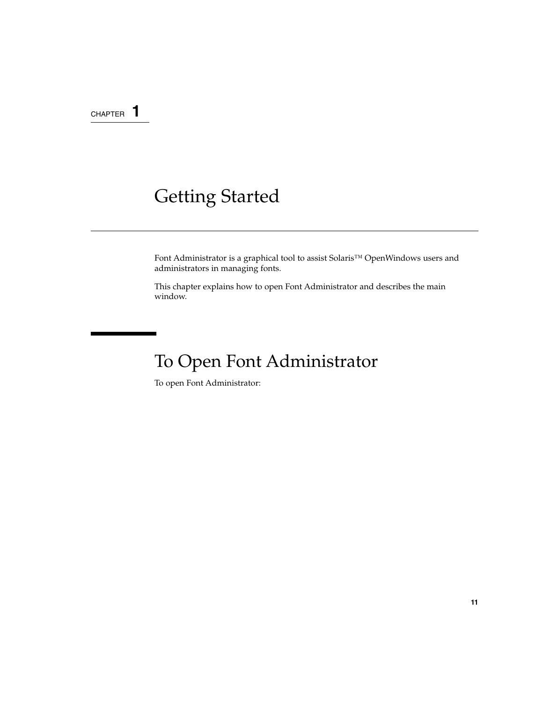CHAPTER **1**

# Getting Started

Font Administrator is a graphical tool to assist Solaris™ OpenWindows users and administrators in managing fonts.

This chapter explains how to open Font Administrator and describes the main window.

# To Open Font Administrator

To open Font Administrator: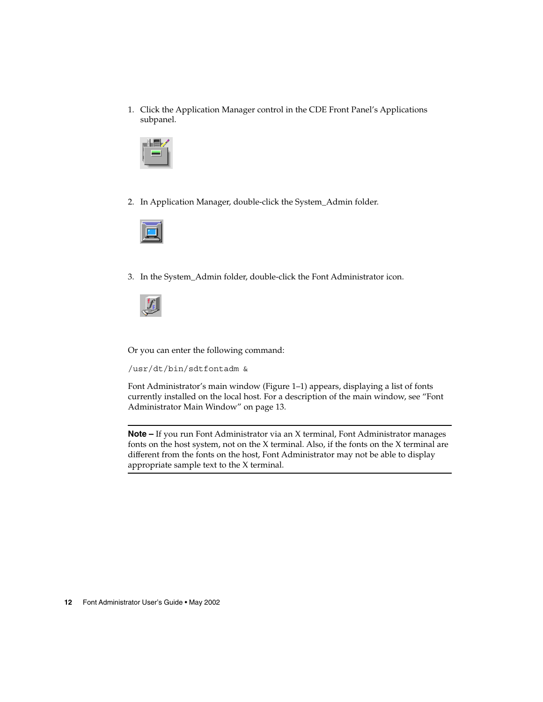1. Click the Application Manager control in the CDE Front Panel's Applications subpanel.



2. In Application Manager, double-click the System\_Admin folder.



3. In the System\_Admin folder, double-click the Font Administrator icon.



Or you can enter the following command:

/usr/dt/bin/sdtfontadm &

Font Administrator's main window (Figure 1–1) appears, displaying a list of fonts currently installed on the local host. For a description of the main window, see "Font Administrator Main Window" on page 13.

**Note –** If you run Font Administrator via an X terminal, Font Administrator manages fonts on the host system, not on the X terminal. Also, if the fonts on the X terminal are different from the fonts on the host, Font Administrator may not be able to display appropriate sample text to the X terminal.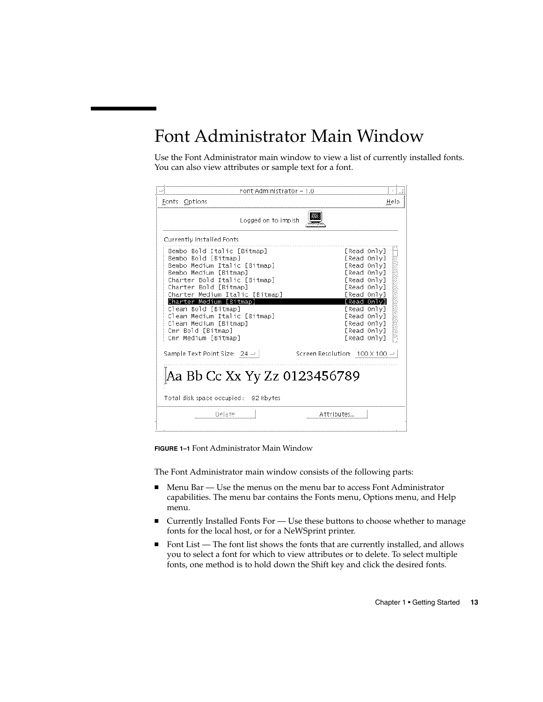## Font Administrator Main Window

Use the Font Administrator main window to view a list of currently installed fonts. You can also view attributes or sample text for a font.

| Font Administrator - 1.0                                                                                                                                                                                                                                                                                                                                     |                                                                                                                                                                                                 |
|--------------------------------------------------------------------------------------------------------------------------------------------------------------------------------------------------------------------------------------------------------------------------------------------------------------------------------------------------------------|-------------------------------------------------------------------------------------------------------------------------------------------------------------------------------------------------|
| Fonts<br>Options                                                                                                                                                                                                                                                                                                                                             | Help                                                                                                                                                                                            |
| Logged on to impish                                                                                                                                                                                                                                                                                                                                          |                                                                                                                                                                                                 |
| Currently Installed Fonts                                                                                                                                                                                                                                                                                                                                    |                                                                                                                                                                                                 |
| Bembo Bold Italic [Bitmap]<br>Bembo Bold [Bitmap]<br>Bembo Medium Italic [Bitmap]<br>Bembo Medium [Bitmap]<br>Charter Bold Italic [Bitmap]<br>Charter Bold [Bitmap]<br>Charter Medium Italic [Bitmap]<br>Charter Medium [Bitmaɒ]<br>Clean Bold [Bitmap]<br>Clean Medium Italic [Bitmap]<br>Clean Medium [Bitmap]<br>Cmr Bold [Bitmap]<br>Cmr Medium [Bitmap] | [Read Only]<br>[Read Only]<br>[Read Only]<br>[Read Only]<br>[Read Only]<br>[Read Only]<br>[Read Only]<br>[Read Only]<br>[Read Only]<br>[Read Only]<br>[Read Only]<br>[Read Only]<br>[Read Only] |
| Sample Text Point Size: 24 -                                                                                                                                                                                                                                                                                                                                 | Screen Resolution: 100 X 100 =                                                                                                                                                                  |
| Aa Bb Cc Xx Yy Zz 0123456789<br>Total disk space occupied: 92 Kbytes                                                                                                                                                                                                                                                                                         |                                                                                                                                                                                                 |
| Delete                                                                                                                                                                                                                                                                                                                                                       | Attributes                                                                                                                                                                                      |

**FIGURE 1–1** Font Administrator Main Window

The Font Administrator main window consists of the following parts:

- Menu Bar Use the menus on the menu bar to access Font Administrator capabilities. The menu bar contains the Fonts menu, Options menu, and Help menu.
- Currently Installed Fonts For Use these buttons to choose whether to manage fonts for the local host, or for a NeWSprint printer.
- Font List The font list shows the fonts that are currently installed, and allows you to select a font for which to view attributes or to delete. To select multiple fonts, one method is to hold down the Shift key and click the desired fonts.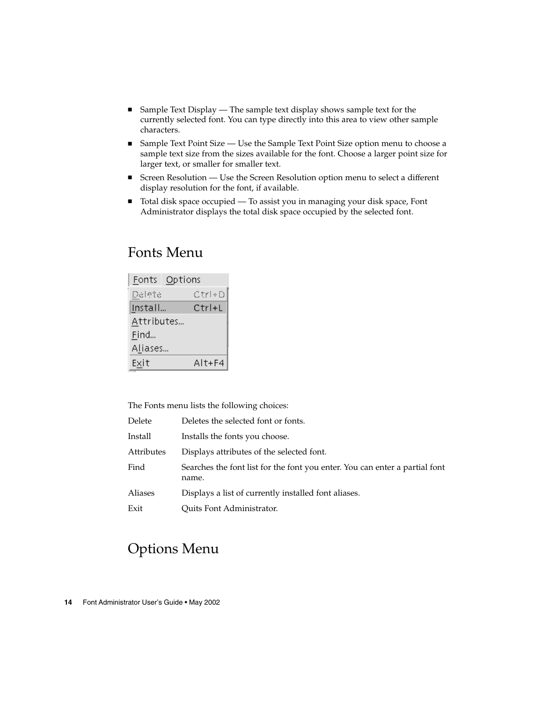- Sample Text Display The sample text display shows sample text for the currently selected font. You can type directly into this area to view other sample characters.
- Sample Text Point Size Use the Sample Text Point Size option menu to choose a sample text size from the sizes available for the font. Choose a larger point size for larger text, or smaller for smaller text.
- Screen Resolution Use the Screen Resolution option menu to select a different display resolution for the font, if available.
- Total disk space occupied To assist you in managing your disk space, Font Administrator displays the total disk space occupied by the selected font.

### Fonts Menu

|            | Fonts Options |
|------------|---------------|
| Delete     | Ctri+D        |
| Install    | Ctrl+L        |
| Attributes |               |
| Find       |               |
| Aliases    |               |
| Exit       | $Alt + F4$    |

The Fonts menu lists the following choices:

| Delete     | Deletes the selected font or fonts.                                                  |
|------------|--------------------------------------------------------------------------------------|
| Install    | Installs the fonts you choose.                                                       |
| Attributes | Displays attributes of the selected font.                                            |
| Find       | Searches the font list for the font you enter. You can enter a partial font<br>name. |
| Aliases    | Displays a list of currently installed font aliases.                                 |
| Exit       | Quits Font Administrator.                                                            |
|            |                                                                                      |

### Options Menu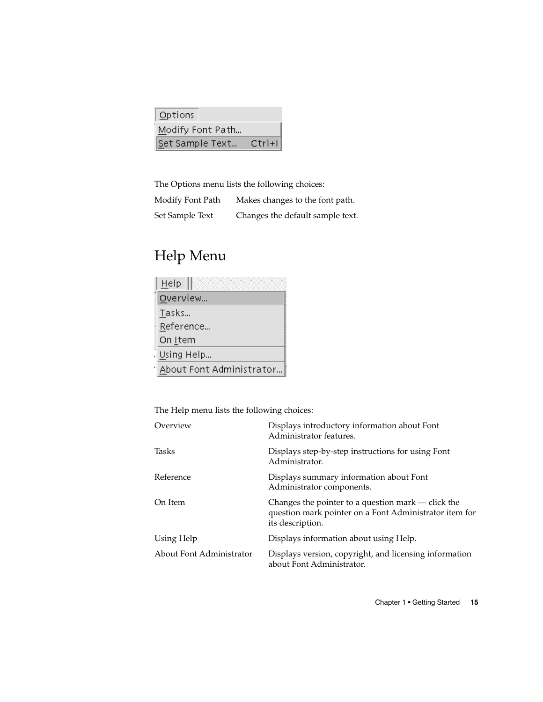| Options         |                  |            |
|-----------------|------------------|------------|
|                 | Modify Font Path |            |
| Set Sample Text |                  | $Ctrl + 1$ |

The Options menu lists the following choices:

| Modify Font Path | Makes changes to the font path.  |
|------------------|----------------------------------|
| Set Sample Text  | Changes the default sample text. |

# Help Menu

| Help                     |
|--------------------------|
| Overview                 |
| Tasks                    |
| Reference                |
| On Item                  |
| Using Help               |
| About Font Administrator |

The Help menu lists the following choices:

| Overview                 | Displays introductory information about Font<br>Administrator features.                                                          |
|--------------------------|----------------------------------------------------------------------------------------------------------------------------------|
| Tasks                    | Displays step-by-step instructions for using Font<br>Administrator.                                                              |
| Reference                | Displays summary information about Font<br>Administrator components.                                                             |
| On Item                  | Changes the pointer to a question mark - click the<br>question mark pointer on a Font Administrator item for<br>its description. |
| Using Help               | Displays information about using Help.                                                                                           |
| About Font Administrator | Displays version, copyright, and licensing information<br>about Font Administrator.                                              |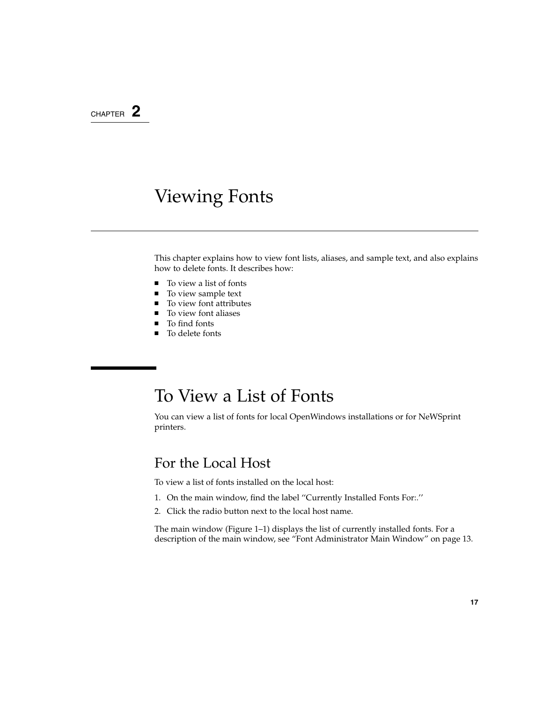### CHAPTER **2**

## Viewing Fonts

This chapter explains how to view font lists, aliases, and sample text, and also explains how to delete fonts. It describes how:

- To view a list of fonts<br>■ To view sample text
- To view sample text
- To view font attributes
- To view font aliases<br>■ To find fonts
- To find fonts
- To delete fonts

### To View a List of Fonts

You can view a list of fonts for local OpenWindows installations or for NeWSprint printers.

### For the Local Host

To view a list of fonts installed on the local host:

- 1. On the main window, find the label ''Currently Installed Fonts For:.''
- 2. Click the radio button next to the local host name.

The main window (Figure 1–1) displays the list of currently installed fonts. For a description of the main window, see "Font Administrator Main Window" on page 13.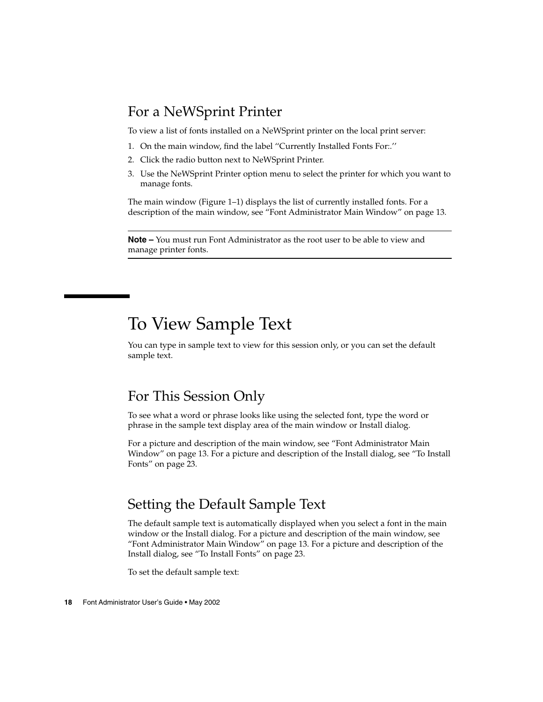#### For a NeWSprint Printer

To view a list of fonts installed on a NeWSprint printer on the local print server:

- 1. On the main window, find the label ''Currently Installed Fonts For:.''
- 2. Click the radio button next to NeWSprint Printer.
- 3. Use the NeWSprint Printer option menu to select the printer for which you want to manage fonts.

The main window (Figure 1–1) displays the list of currently installed fonts. For a description of the main window, see "Font Administrator Main Window" on page 13.

**Note –** You must run Font Administrator as the root user to be able to view and manage printer fonts.

### To View Sample Text

You can type in sample text to view for this session only, or you can set the default sample text.

#### For This Session Only

To see what a word or phrase looks like using the selected font, type the word or phrase in the sample text display area of the main window or Install dialog.

For a picture and description of the main window, see "Font Administrator Main Window" on page 13. For a picture and description of the Install dialog, see "To Install Fonts" on page 23.

### Setting the Default Sample Text

The default sample text is automatically displayed when you select a font in the main window or the Install dialog. For a picture and description of the main window, see "Font Administrator Main Window" on page 13. For a picture and description of the Install dialog, see "To Install Fonts" on page 23.

To set the default sample text: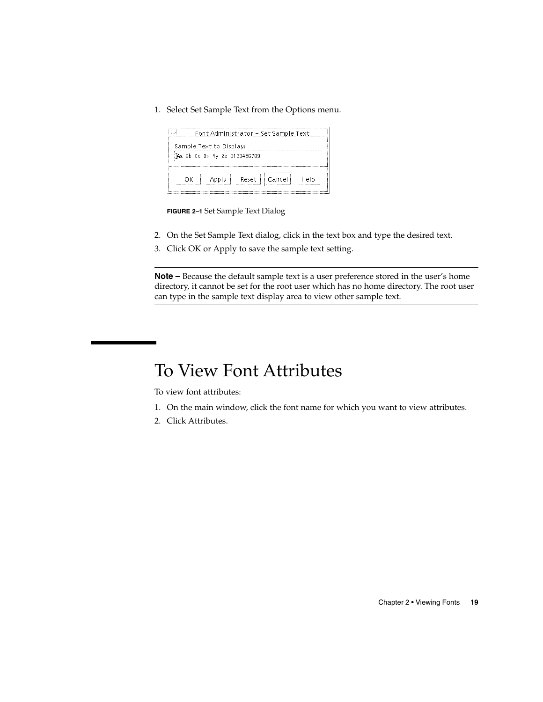1. Select Set Sample Text from the Options menu.



**FIGURE 2–1** Set Sample Text Dialog

- 2. On the Set Sample Text dialog, click in the text box and type the desired text.
- 3. Click OK or Apply to save the sample text setting.

**Note –** Because the default sample text is a user preference stored in the user's home directory, it cannot be set for the root user which has no home directory. The root user can type in the sample text display area to view other sample text.

# To View Font Attributes

To view font attributes:

- 1. On the main window, click the font name for which you want to view attributes.
- 2. Click Attributes.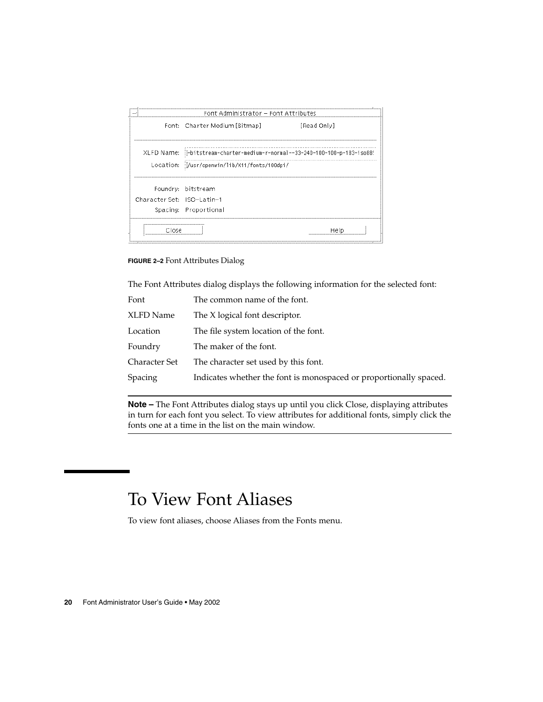

**FIGURE 2–2** Font Attributes Dialog

The Font Attributes dialog displays the following information for the selected font:

| Font          | The common name of the font.                                       |
|---------------|--------------------------------------------------------------------|
| XLFD Name     | The X logical font descriptor.                                     |
| Location      | The file system location of the font.                              |
| Foundry       | The maker of the font.                                             |
| Character Set | The character set used by this font.                               |
| Spacing       | Indicates whether the font is monospaced or proportionally spaced. |
|               |                                                                    |

**Note –** The Font Attributes dialog stays up until you click Close, displaying attributes in turn for each font you select. To view attributes for additional fonts, simply click the fonts one at a time in the list on the main window.

## To View Font Aliases

To view font aliases, choose Aliases from the Fonts menu.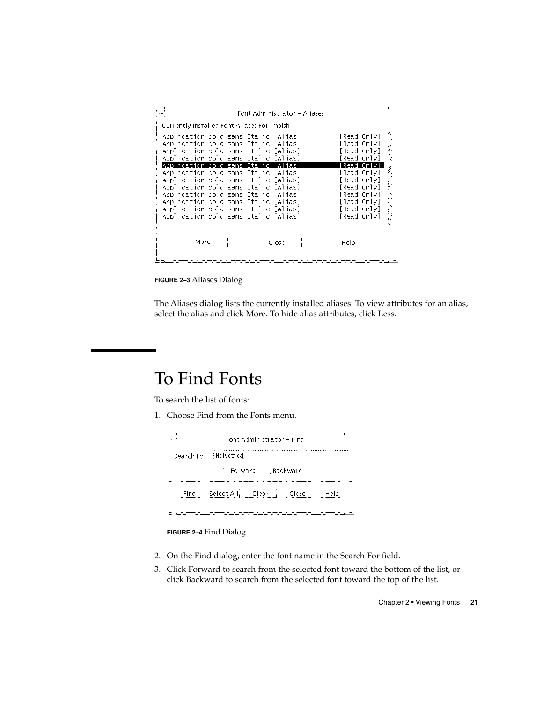| Currently Installed Font Aliases For impish                                                                                                                                                                                                                                                                          |  |       |                                                                                                                 |  |
|----------------------------------------------------------------------------------------------------------------------------------------------------------------------------------------------------------------------------------------------------------------------------------------------------------------------|--|-------|-----------------------------------------------------------------------------------------------------------------|--|
| Application bold sans Italic [Alias]<br>Application bold sans Italic [Alias]<br>Application bold sans Italic [Alias]<br>Application bold sans Italic [Alias]                                                                                                                                                         |  |       | [Read Only]<br>[Read Only]<br>[Read Only]<br>[Read Only]                                                        |  |
| Application bold sans Italic<br>Application bold sans Italic [Alias]<br>Application bold sans Italic [Alias]<br>Application bold sans Italic [Alias]<br>Application bold sans Italic [Alias]<br>Application bold sans Italic [Alias]<br>Application bold sans Italic [Alias]<br>Application bold sans Italic [Alias] |  | LA 1  | [ Read<br>[Read Only]<br>[Read Only]<br>[Read Only]<br>[Read Only]<br>[Read Only]<br>[Read Only]<br>[Read Only] |  |
| More                                                                                                                                                                                                                                                                                                                 |  | مكوات | Help<br>                                                                                                        |  |

**FIGURE 2–3** Aliases Dialog

The Aliases dialog lists the currently installed aliases. To view attributes for an alias, select the alias and click More. To hide alias attributes, click Less.

## To Find Fonts

To search the list of fonts:

1. Choose Find from the Fonts menu.

| Font Administrator - Find<br>11111                |
|---------------------------------------------------|
| Search For: Helvetical                            |
| (Forward ) Backward                               |
| - Select Alli<br>Find<br>– Clear<br>Close<br>Help |

**FIGURE 2–4** Find Dialog

- 2. On the Find dialog, enter the font name in the Search For field.
- 3. Click Forward to search from the selected font toward the bottom of the list, or click Backward to search from the selected font toward the top of the list.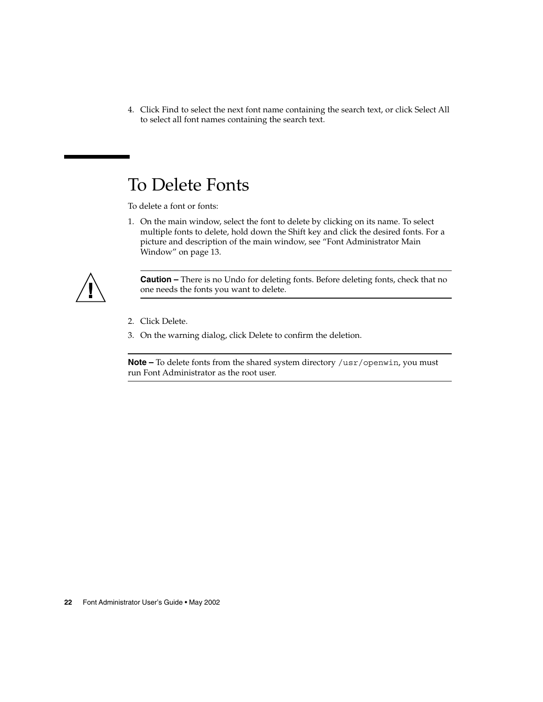4. Click Find to select the next font name containing the search text, or click Select All to select all font names containing the search text.

# To Delete Fonts

To delete a font or fonts:

1. On the main window, select the font to delete by clicking on its name. To select multiple fonts to delete, hold down the Shift key and click the desired fonts. For a picture and description of the main window, see "Font Administrator Main Window" on page 13.



**Caution –** There is no Undo for deleting fonts. Before deleting fonts, check that no one needs the fonts you want to delete.

- 2. Click Delete.
- 3. On the warning dialog, click Delete to confirm the deletion.

**Note –** To delete fonts from the shared system directory /usr/openwin, you must run Font Administrator as the root user.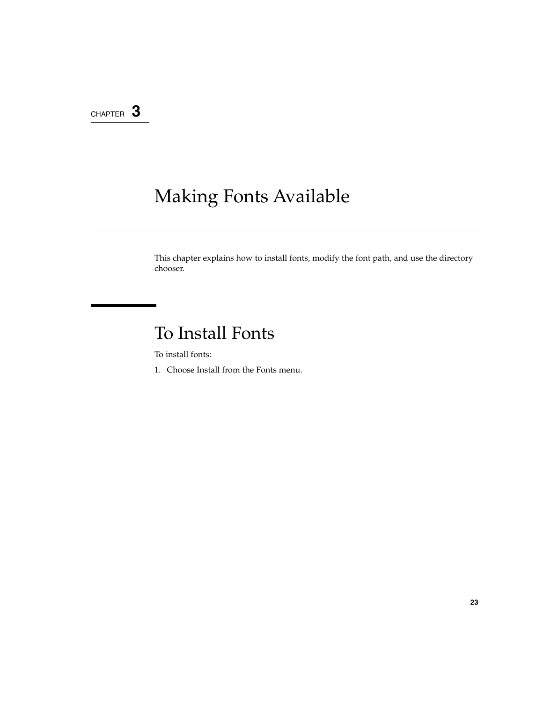### CHAPTER **3**

# Making Fonts Available

This chapter explains how to install fonts, modify the font path, and use the directory chooser.

# To Install Fonts

To install fonts:

1. Choose Install from the Fonts menu.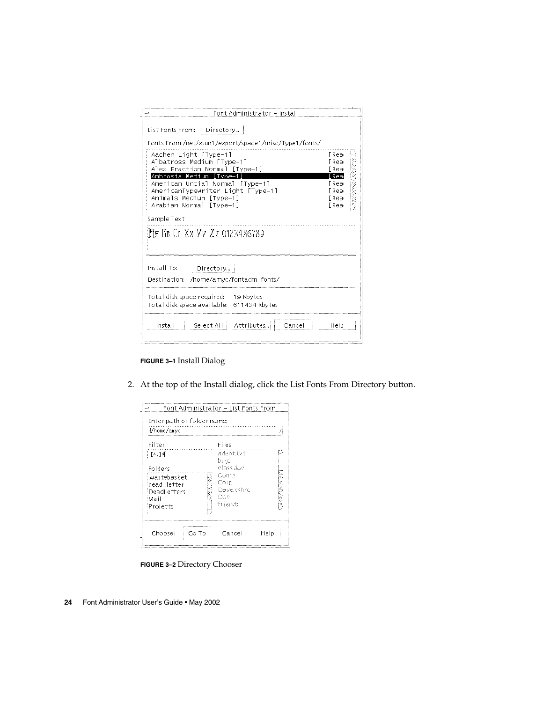| Font Administrator - Install                                                                                                                                                                                                                                                                                                                                                                        |                                                                                                                                                        |
|-----------------------------------------------------------------------------------------------------------------------------------------------------------------------------------------------------------------------------------------------------------------------------------------------------------------------------------------------------------------------------------------------------|--------------------------------------------------------------------------------------------------------------------------------------------------------|
| List Fonts From: Directory  <br>Fonts From /net/xsun1/export/space1/misc/Type1/fonts/<br>Aachen Light [Type-1]<br>Albatross Medium [Type-1]<br>Alex Fraction Normal [Type-1]<br>Ambrosia Medium [Tvpe-1<br>American Uncial Normal [Tvpe-1]<br>AmericanTypewriter Light [Type-1]<br>Animals Medium [Type-1]<br>Arabian Normal [Type-1]<br>Sample Text<br><mark>15</mark> я Вв Сс Хх Уу Zz 0123486789 | [Rea <sub>'</sub><br>FRea <sub>'</sub><br>FRea <sub>'</sub><br>Rea<br>[Rea <sub>'</sub><br>FRea <sub>!</sub><br>FRea <sub>'</sub><br>FRea <sub>'</sub> |
| Install To:<br>Directory<br>Destination: /home/amyc/fontadm_fonts/                                                                                                                                                                                                                                                                                                                                  |                                                                                                                                                        |
| Total disk space required: 19 Kbytes<br>Total disk space available: 611434 Kbytes                                                                                                                                                                                                                                                                                                                   |                                                                                                                                                        |
| Select All : Attributes<br>Install<br>Cancel                                                                                                                                                                                                                                                                                                                                                        | Help                                                                                                                                                   |

#### **FIGURE 3–1** Install Dialog

2. At the top of the Install dialog, click the List Fonts From Directory button.

| Filter       | Files      |  |
|--------------|------------|--|
| 千人 1種<br>ŧ.  | adeptizi   |  |
|              | busc       |  |
| Folders      | classidoc  |  |
| .wastebasket | iComp      |  |
| dead_letter  | Соны       |  |
| DeadLetters  | Dave.cshro |  |
| Mail         | Doc        |  |
| Projects     | ifi iendt  |  |
|              |            |  |

**FIGURE 3–2** Directory Chooser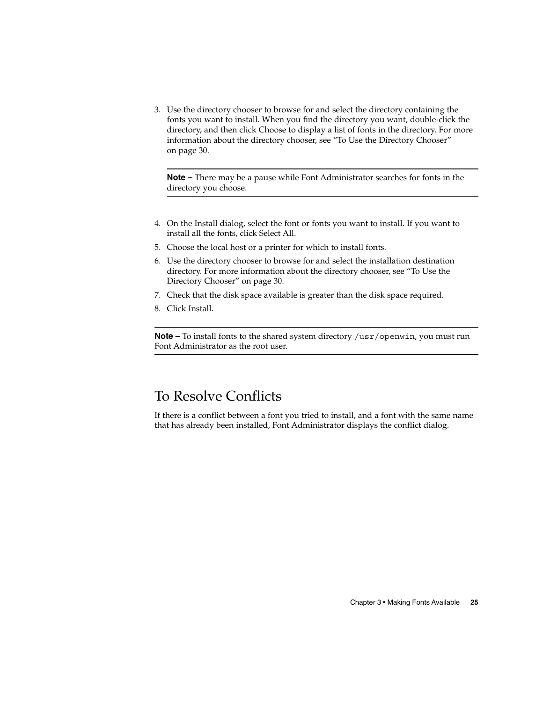3. Use the directory chooser to browse for and select the directory containing the fonts you want to install. When you find the directory you want, double-click the directory, and then click Choose to display a list of fonts in the directory. For more information about the directory chooser, see "To Use the Directory Chooser" on page 30.

**Note –** There may be a pause while Font Administrator searches for fonts in the directory you choose.

- 4. On the Install dialog, select the font or fonts you want to install. If you want to install all the fonts, click Select All.
- 5. Choose the local host or a printer for which to install fonts.
- 6. Use the directory chooser to browse for and select the installation destination directory. For more information about the directory chooser, see "To Use the Directory Chooser" on page 30.
- 7. Check that the disk space available is greater than the disk space required.
- 8. Click Install.

**Note –** To install fonts to the shared system directory /usr/openwin, you must run Font Administrator as the root user.

### To Resolve Conflicts

If there is a conflict between a font you tried to install, and a font with the same name that has already been installed, Font Administrator displays the conflict dialog.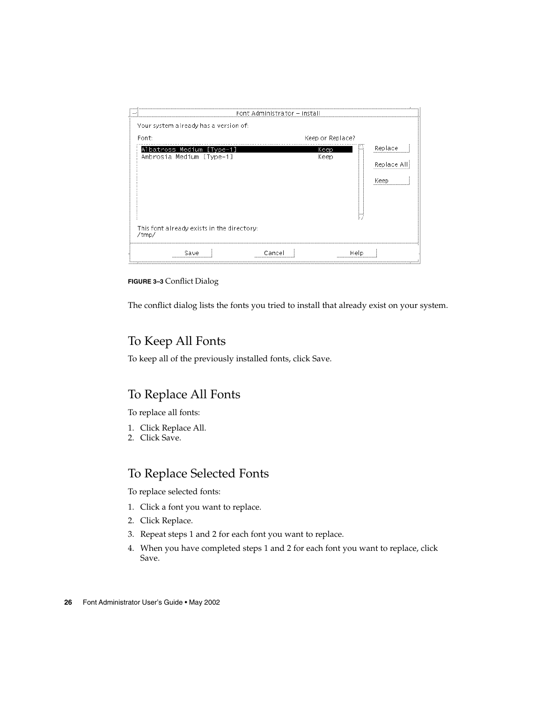|                                                       | Font Administrator – Install |                               |  |
|-------------------------------------------------------|------------------------------|-------------------------------|--|
| Your system already has a version of:                 |                              |                               |  |
| Font:                                                 | Keep or Replace?             |                               |  |
| Albatross Medium [Type-1]<br>Ambrosia Medium [Type-1] | Keep<br>Keep                 | Replace<br>Replace Al<br>Keep |  |
| This font already exists in the directory:<br>/tmp/   |                              |                               |  |
| Save                                                  | Cancel                       | Help                          |  |

**FIGURE 3–3** Conflict Dialog

The conflict dialog lists the fonts you tried to install that already exist on your system.

#### To Keep All Fonts

To keep all of the previously installed fonts, click Save.

#### To Replace All Fonts

To replace all fonts:

- 1. Click Replace All.
- 2. Click Save.

#### To Replace Selected Fonts

To replace selected fonts:

- 1. Click a font you want to replace.
- 2. Click Replace.
- 3. Repeat steps 1 and 2 for each font you want to replace.
- 4. When you have completed steps 1 and 2 for each font you want to replace, click Save.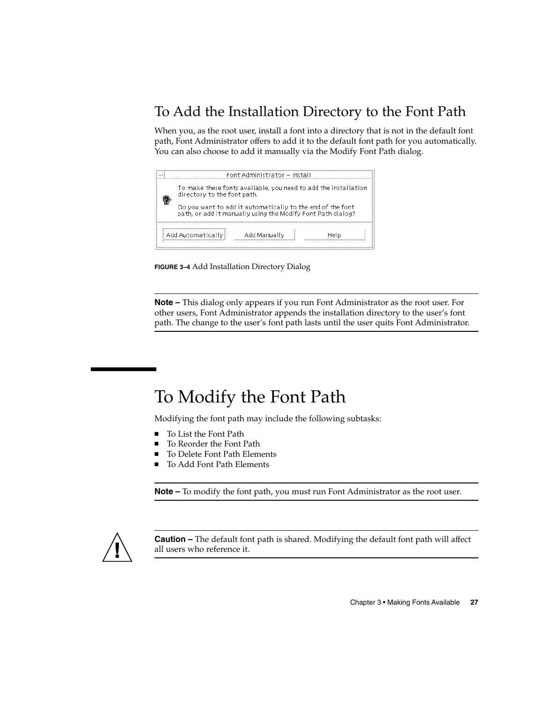### To Add the Installation Directory to the Font Path

When you, as the root user, install a font into a directory that is not in the default font path, Font Administrator offers to add it to the default font path for you automatically. You can also choose to add it manually via the Modify Font Path dialog.



**FIGURE 3–4** Add Installation Directory Dialog

**Note –** This dialog only appears if you run Font Administrator as the root user. For other users, Font Administrator appends the installation directory to the user's font path. The change to the user's font path lasts until the user quits Font Administrator.

# To Modify the Font Path

Modifying the font path may include the following subtasks:

- To List the Font Path
- To Reorder the Font Path
- To Delete Font Path Elements
- To Add Font Path Elements

**Note –** To modify the font path, you must run Font Administrator as the root user.



**Caution –** The default font path is shared. Modifying the default font path will affect all users who reference it.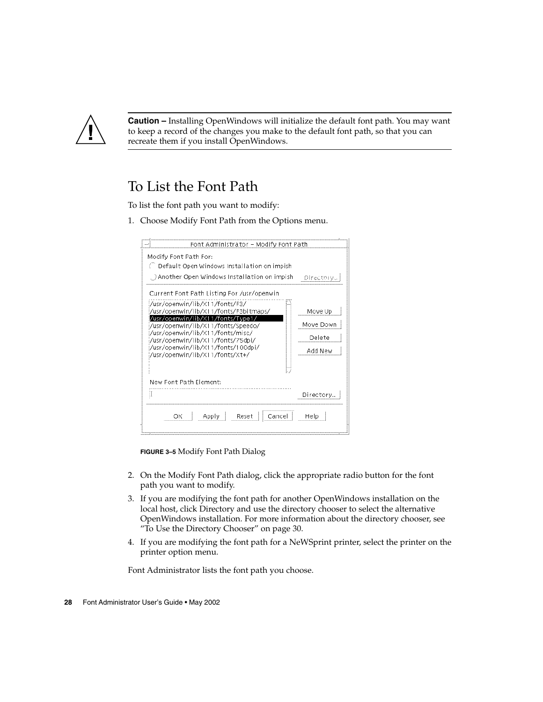

**Caution –** Installing OpenWindows will initialize the default font path. You may want to keep a record of the changes you make to the default font path, so that you can recreate them if you install OpenWindows.

### To List the Font Path

To list the font path you want to modify:

1. Choose Modify Font Path from the Options menu.

| Font Administrator – Modify Font Path                                                                                   |             |  |
|-------------------------------------------------------------------------------------------------------------------------|-------------|--|
| Modify Font Path For:<br>Default Open Windows Installation on impish<br>. ) Another Open Windows Installation on impish | - Directory |  |
| Current Font Path Listing For /usr/openwin                                                                              |             |  |
| :/usr/openwin/lib/X11/fonts/F3/<br>:/usr/openwin/lib/X11/fonts/F3bitmaps/                                               | Move Up     |  |
| /usr/openwin/lib/X11/fonts/Type1<br>Move Down<br>:/usr/openwin/lib/X11/fonts/Speedo/                                    |             |  |
| :/usr/openwin/lib/X11/fonts/misc/<br>Delete<br>:/usr/openwin/lib/X11/fonts/75dpi/                                       |             |  |
| :/usr/openwin/lib/X11/fonts/100dpi/<br>:/usr/openwin/lib/X11/fonts/Xt+/                                                 | Add New     |  |
|                                                                                                                         |             |  |
| New Font Path Element:                                                                                                  |             |  |
|                                                                                                                         | Directory   |  |
|                                                                                                                         |             |  |

**FIGURE 3–5** Modify Font Path Dialog

- 2. On the Modify Font Path dialog, click the appropriate radio button for the font path you want to modify.
- 3. If you are modifying the font path for another OpenWindows installation on the local host, click Directory and use the directory chooser to select the alternative OpenWindows installation. For more information about the directory chooser, see "To Use the Directory Chooser" on page 30.
- 4. If you are modifying the font path for a NeWSprint printer, select the printer on the printer option menu.

Font Administrator lists the font path you choose.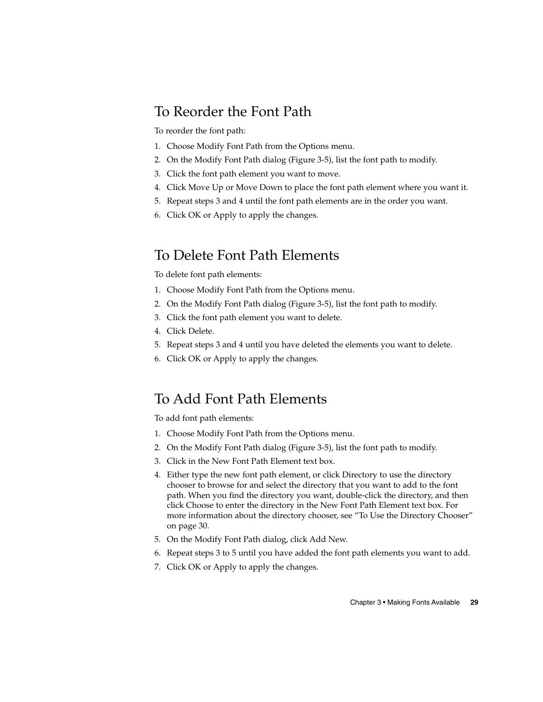### To Reorder the Font Path

To reorder the font path:

- 1. Choose Modify Font Path from the Options menu.
- 2. On the Modify Font Path dialog (Figure 3-5), list the font path to modify.
- 3. Click the font path element you want to move.
- 4. Click Move Up or Move Down to place the font path element where you want it.
- 5. Repeat steps 3 and 4 until the font path elements are in the order you want.
- 6. Click OK or Apply to apply the changes.

### To Delete Font Path Elements

To delete font path elements:

- 1. Choose Modify Font Path from the Options menu.
- 2. On the Modify Font Path dialog (Figure 3-5), list the font path to modify.
- 3. Click the font path element you want to delete.
- 4. Click Delete.
- 5. Repeat steps 3 and 4 until you have deleted the elements you want to delete.
- 6. Click OK or Apply to apply the changes.

### To Add Font Path Elements

To add font path elements:

- 1. Choose Modify Font Path from the Options menu.
- 2. On the Modify Font Path dialog (Figure 3-5), list the font path to modify.
- 3. Click in the New Font Path Element text box.
- 4. Either type the new font path element, or click Directory to use the directory chooser to browse for and select the directory that you want to add to the font path. When you find the directory you want, double-click the directory, and then click Choose to enter the directory in the New Font Path Element text box. For more information about the directory chooser, see "To Use the Directory Chooser" on page 30.
- 5. On the Modify Font Path dialog, click Add New.
- 6. Repeat steps 3 to 5 until you have added the font path elements you want to add.
- 7. Click OK or Apply to apply the changes.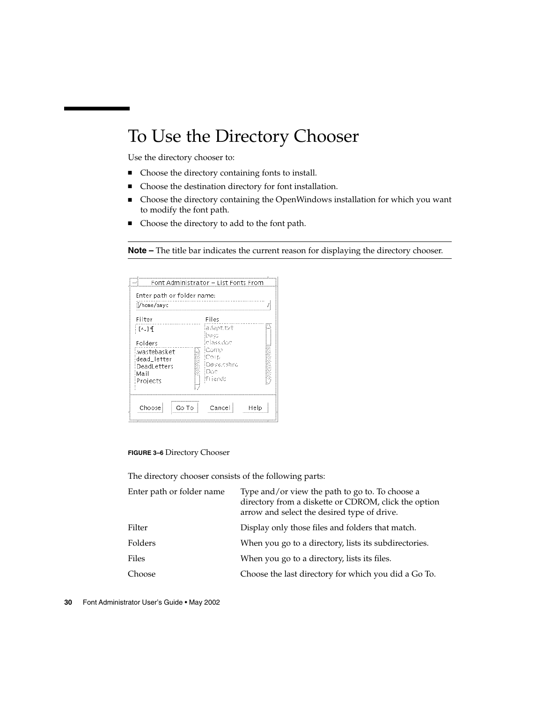# To Use the Directory Chooser

Use the directory chooser to:

- Choose the directory containing fonts to install.
- Choose the destination directory for font installation.
- Choose the directory containing the OpenWindows installation for which you want to modify the font path.
- Choose the directory to add to the font path.

**Note –** The title bar indicates the current reason for displaying the directory chooser.

| Filter                            | Files             |  |
|-----------------------------------|-------------------|--|
| 千^.1坪                             | adeptitzt<br>buas |  |
| Folders                           | classidoc<br>Comp |  |
| .wastebasket                      | Сонь              |  |
| dead letter<br><b>DeadLetters</b> | Daveloshro        |  |
| Mail                              | :Doc              |  |
| Projects                          | ifi iends         |  |

#### **FIGURE 3–6** Directory Chooser

The directory chooser consists of the following parts:

| Type and/or view the path to go to. To choose a<br>directory from a diskette or CDROM, click the option<br>arrow and select the desired type of drive. |
|--------------------------------------------------------------------------------------------------------------------------------------------------------|
| Display only those files and folders that match.                                                                                                       |
| When you go to a directory, lists its subdirectories.                                                                                                  |
| When you go to a directory, lists its files.                                                                                                           |
| Choose the last directory for which you did a Go To.                                                                                                   |
|                                                                                                                                                        |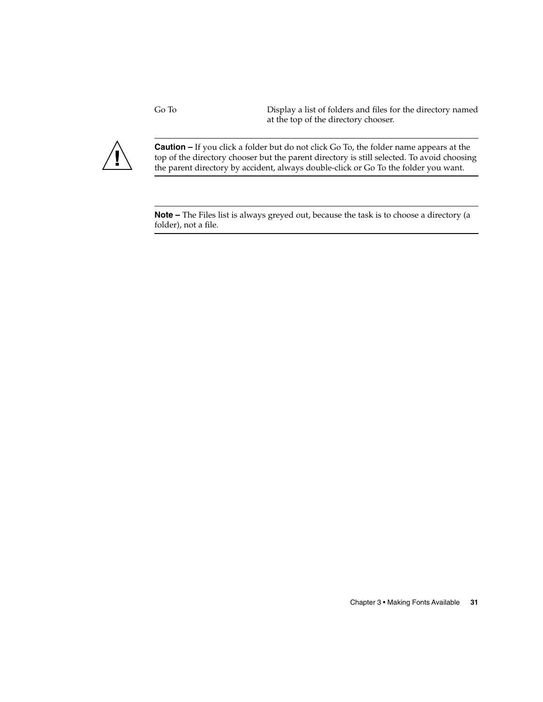Go To Display a list of folders and files for the directory named at the top of the directory chooser.



**Caution –** If you click a folder but do not click Go To, the folder name appears at the top of the directory chooser but the parent directory is still selected. To avoid choosing the parent directory by accident, always double-click or Go To the folder you want.

**Note –** The Files list is always greyed out, because the task is to choose a directory (a folder), not a file.

Chapter 3 • Making Fonts Available **31**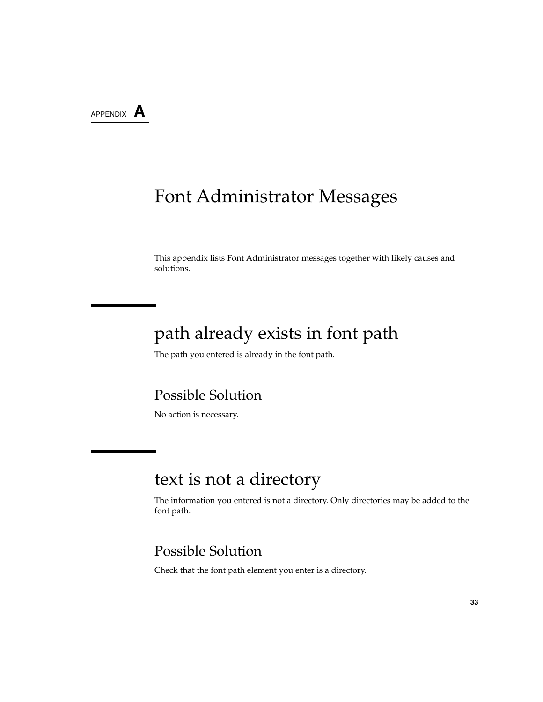APPENDIX **A**

# Font Administrator Messages

This appendix lists Font Administrator messages together with likely causes and solutions.

### path already exists in font path

The path you entered is already in the font path.

#### Possible Solution

No action is necessary.

### text is not a directory

The information you entered is not a directory. Only directories may be added to the font path.

### Possible Solution

Check that the font path element you enter is a directory.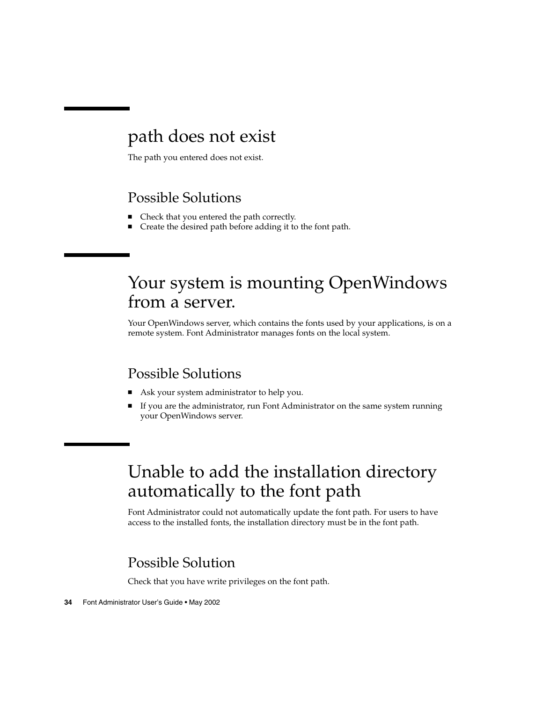### path does not exist

The path you entered does not exist.

### Possible Solutions

- Check that you entered the path correctly.
- Create the desired path before adding it to the font path.

# Your system is mounting OpenWindows from a server.

Your OpenWindows server, which contains the fonts used by your applications, is on a remote system. Font Administrator manages fonts on the local system.

### Possible Solutions

- Ask your system administrator to help you.
- If you are the administrator, run Font Administrator on the same system running your OpenWindows server.

# Unable to add the installation directory automatically to the font path

Font Administrator could not automatically update the font path. For users to have access to the installed fonts, the installation directory must be in the font path.

### Possible Solution

Check that you have write privileges on the font path.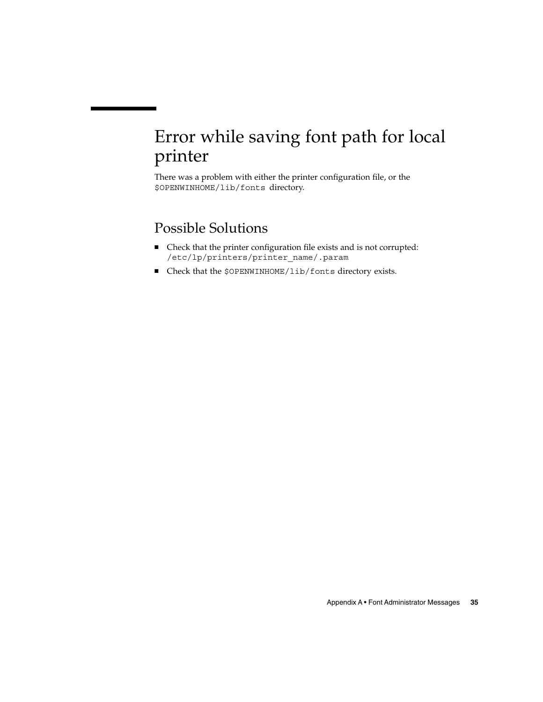# Error while saving font path for local printer

There was a problem with either the printer configuration file, or the \$OPENWINHOME/lib/fonts directory.

### Possible Solutions

- Check that the printer configuration file exists and is not corrupted: /etc/lp/printers/printer\_name/.param
- Check that the \$OPENWINHOME/lib/fonts directory exists.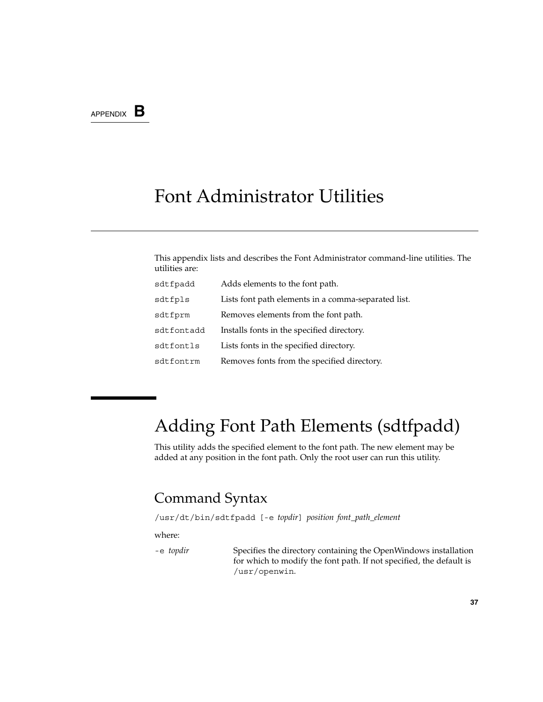### APPENDIX **B**

## Font Administrator Utilities

This appendix lists and describes the Font Administrator command-line utilities. The utilities are:

| sdtfpadd   | Adds elements to the font path.                     |
|------------|-----------------------------------------------------|
| sdtfpls    | Lists font path elements in a comma-separated list. |
| sdtfprm    | Removes elements from the font path.                |
| sdtfontadd | Installs fonts in the specified directory.          |
| sdtfontls  | Lists fonts in the specified directory.             |
| sdtfontrm  | Removes fonts from the specified directory.         |

# Adding Font Path Elements (sdtfpadd)

This utility adds the specified element to the font path. The new element may be added at any position in the font path. Only the root user can run this utility.

### Command Syntax

/usr/dt/bin/sdtfpadd [-e *topdir*] *position font\_path\_element*

where:

-e *topdir* Specifies the directory containing the OpenWindows installation for which to modify the font path. If not specified, the default is /usr/openwin.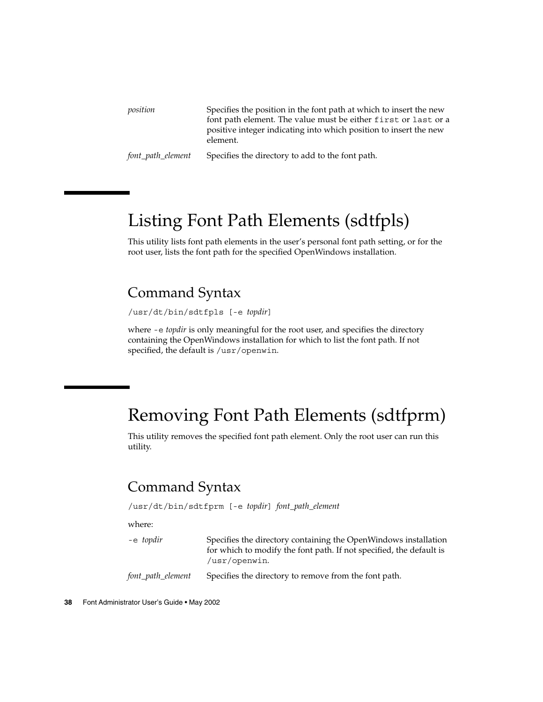| position          | Specifies the position in the font path at which to insert the new<br>font path element. The value must be either first or last or a<br>positive integer indicating into which position to insert the new<br>element. |
|-------------------|-----------------------------------------------------------------------------------------------------------------------------------------------------------------------------------------------------------------------|
| font_path_element | Specifies the directory to add to the font path.                                                                                                                                                                      |

# Listing Font Path Elements (sdtfpls)

This utility lists font path elements in the user's personal font path setting, or for the root user, lists the font path for the specified OpenWindows installation.

### Command Syntax

/usr/dt/bin/sdtfpls [-e *topdir*]

where -e *topdir* is only meaningful for the root user, and specifies the directory containing the OpenWindows installation for which to list the font path. If not specified, the default is /usr/openwin.

### Removing Font Path Elements (sdtfprm)

This utility removes the specified font path element. Only the root user can run this utility.

### Command Syntax

/usr/dt/bin/sdtfprm [-e *topdir*] *font\_path\_element*

where:

| -e topdir         | Specifies the directory containing the OpenWindows installation<br>for which to modify the font path. If not specified, the default is<br>/usr/openwin. |
|-------------------|---------------------------------------------------------------------------------------------------------------------------------------------------------|
| font_path_element | Specifies the directory to remove from the font path.                                                                                                   |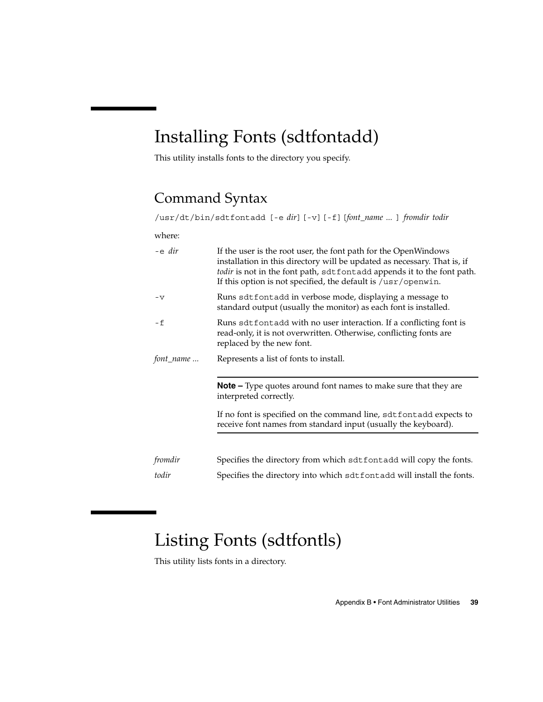# Installing Fonts (sdtfontadd)

This utility installs fonts to the directory you specify.

### Command Syntax

/usr/dt/bin/sdtfontadd [-e *dir*][-v][-f][*font\_name ...* ] *fromdir todir*

where:

| $-e$ dir  | If the user is the root user, the font path for the OpenWindows<br>installation in this directory will be updated as necessary. That is, if<br>todir is not in the font path, sdtfontadd appends it to the font path.<br>If this option is not specified, the default is $/\text{usr}/\text{openwin}$ . |
|-----------|---------------------------------------------------------------------------------------------------------------------------------------------------------------------------------------------------------------------------------------------------------------------------------------------------------|
| $-v$      | Runs sdtfontadd in verbose mode, displaying a message to<br>standard output (usually the monitor) as each font is installed.                                                                                                                                                                            |
| - f       | Runs sdt fontadd with no user interaction. If a conflicting font is<br>read-only, it is not overwritten. Otherwise, conflicting fonts are<br>replaced by the new font.                                                                                                                                  |
| font_name | Represents a list of fonts to install.                                                                                                                                                                                                                                                                  |
|           | <b>Note –</b> Type quotes around font names to make sure that they are<br>interpreted correctly.                                                                                                                                                                                                        |
|           | If no font is specified on the command line, sdtfontadd expects to<br>receive font names from standard input (usually the keyboard).                                                                                                                                                                    |
|           |                                                                                                                                                                                                                                                                                                         |
| fromdir   | Specifies the directory from which sdtfontadd will copy the fonts.                                                                                                                                                                                                                                      |
| todir     | Specifies the directory into which sdtfontadd will install the fonts.                                                                                                                                                                                                                                   |

# Listing Fonts (sdtfontls)

This utility lists fonts in a directory.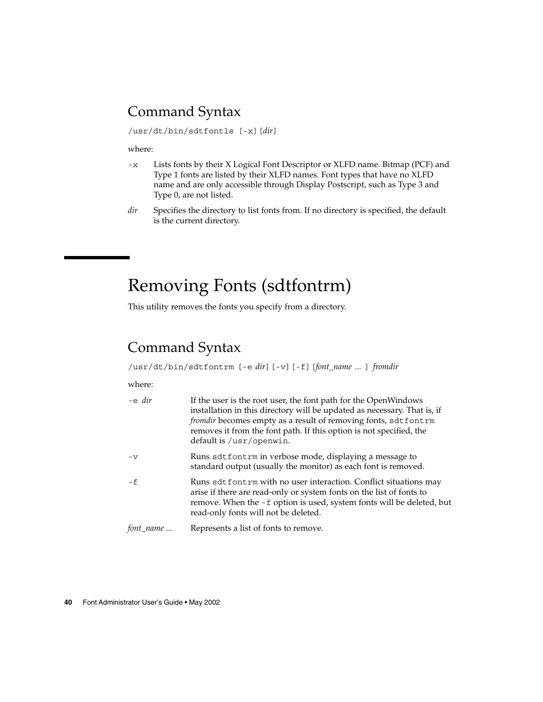### Command Syntax

/usr/dt/bin/sdtfontls [-x][*dir*]

where:

- -x Lists fonts by their X Logical Font Descriptor or XLFD name. Bitmap (PCF) and Type 1 fonts are listed by their XLFD names. Font types that have no XLFD name and are only accessible through Display Postscript, such as Type 3 and Type 0, are not listed.
- *dir* Specifies the directory to list fonts from. If no directory is specified, the default is the current directory.

# Removing Fonts (sdtfontrm)

This utility removes the fonts you specify from a directory.

### Command Syntax

/usr/dt/bin/sdtfontrm [-e *dir*][-v][-f][*font\_name ...* ] *fromdir*

#### where:

| -e dir    | If the user is the root user, the font path for the OpenWindows<br>installation in this directory will be updated as necessary. That is, if<br>fromdir becomes empty as a result of removing fonts, sdtfontrm<br>removes it from the font path. If this option is not specified, the<br>default is /usr/openwin. |
|-----------|------------------------------------------------------------------------------------------------------------------------------------------------------------------------------------------------------------------------------------------------------------------------------------------------------------------|
| $-V$      | Runs sdtfontrm in verbose mode, displaying a message to<br>standard output (usually the monitor) as each font is removed.                                                                                                                                                                                        |
| $- f$     | Runs sdtfontrm with no user interaction. Conflict situations may<br>arise if there are read-only or system fonts on the list of fonts to<br>remove. When the -f option is used, system fonts will be deleted, but<br>read-only fonts will not be deleted.                                                        |
| font_name | Represents a list of fonts to remove.                                                                                                                                                                                                                                                                            |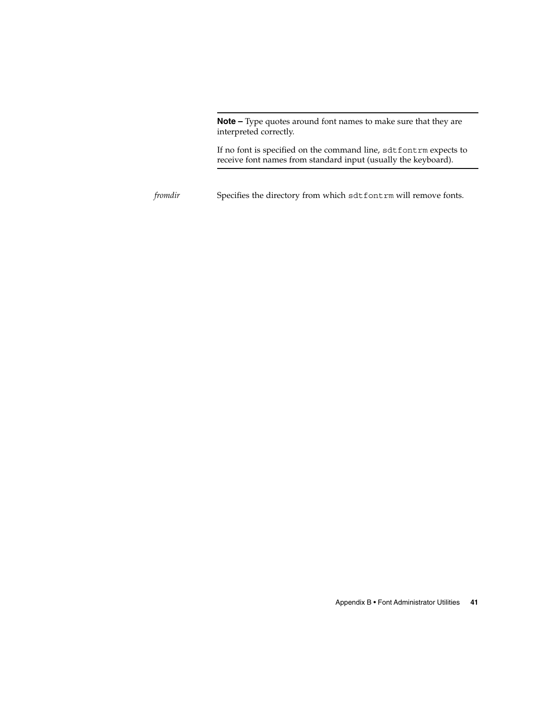**Note –** Type quotes around font names to make sure that they are interpreted correctly.

If no font is specified on the command line, sdtfontrm expects to receive font names from standard input (usually the keyboard).

*fromdir* Specifies the directory from which sdtfontrm will remove fonts.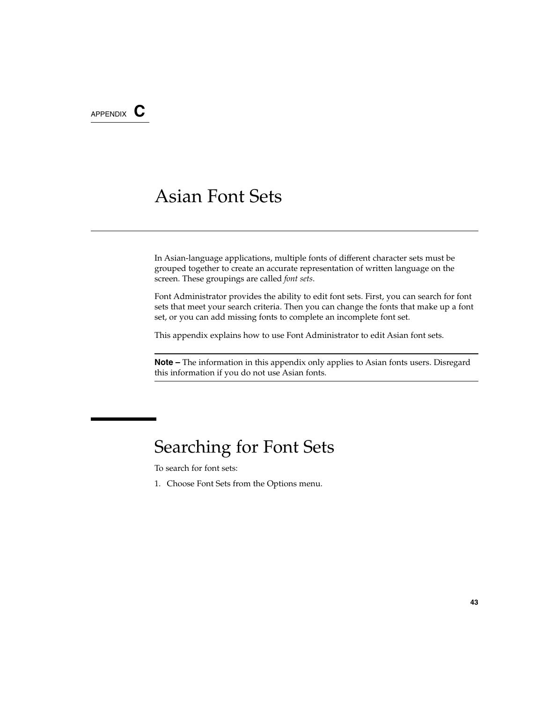APPENDIX **C**

# Asian Font Sets

In Asian-language applications, multiple fonts of different character sets must be grouped together to create an accurate representation of written language on the screen. These groupings are called *font sets*.

Font Administrator provides the ability to edit font sets. First, you can search for font sets that meet your search criteria. Then you can change the fonts that make up a font set, or you can add missing fonts to complete an incomplete font set.

This appendix explains how to use Font Administrator to edit Asian font sets.

**Note –** The information in this appendix only applies to Asian fonts users. Disregard this information if you do not use Asian fonts.

### Searching for Font Sets

To search for font sets:

1. Choose Font Sets from the Options menu.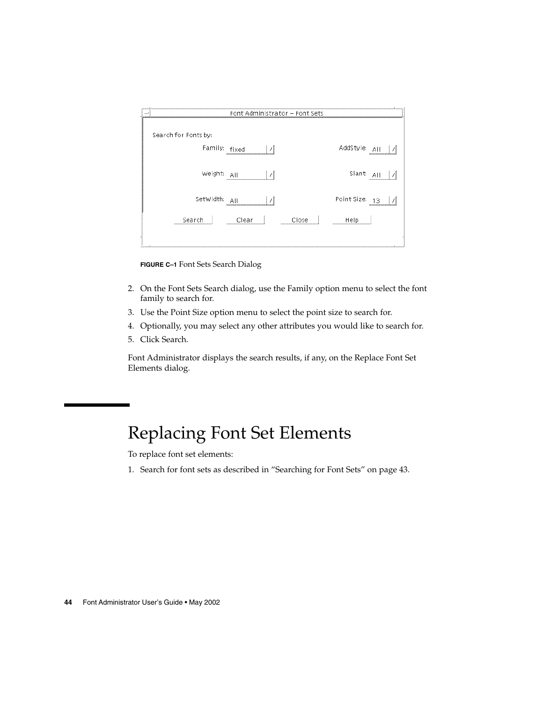| <br>uuuufooo<br>,,,,,,,,,,,,,,,,,,,,,,,,,,,,,,,,,, | Font Administrator - Font Sets |     |                      |
|----------------------------------------------------|--------------------------------|-----|----------------------|
| Search for Fonts by:                               |                                |     |                      |
| Family: fixed                                      |                                |     | AddStyle:<br>AII<br> |
| Weight:                                            | AII                            |     | Slant:<br>ΑI         |
| SetWidth:                                          |                                |     | Point Size:<br>13    |
| Search                                             | lear                           | ose | Help                 |

**FIGURE C–1** Font Sets Search Dialog

- 2. On the Font Sets Search dialog, use the Family option menu to select the font family to search for.
- 3. Use the Point Size option menu to select the point size to search for.
- 4. Optionally, you may select any other attributes you would like to search for.
- 5. Click Search.

Font Administrator displays the search results, if any, on the Replace Font Set Elements dialog.

# Replacing Font Set Elements

To replace font set elements:

1. Search for font sets as described in "Searching for Font Sets" on page 43.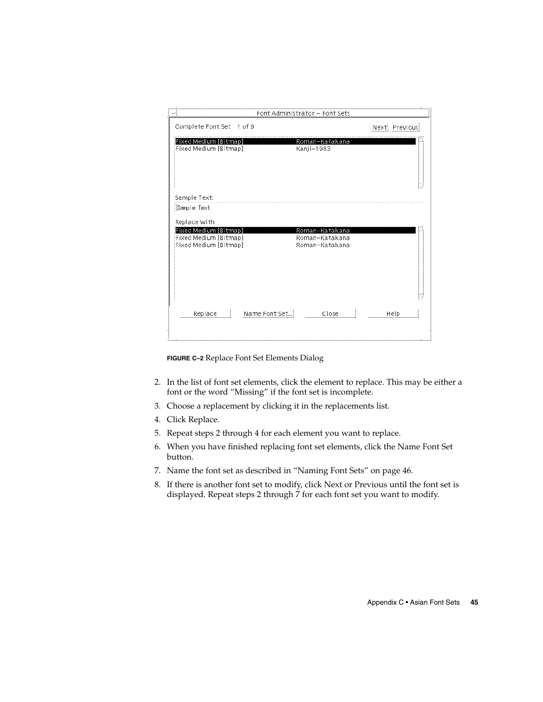|                                                | Fon           |                                  | t sets |                   |  |
|------------------------------------------------|---------------|----------------------------------|--------|-------------------|--|
| Complete Font Set 1 of 9                       |               |                                  |        | Previous<br>Next: |  |
| Fixed Medium [Bitmap]<br>Fixed Medium [Bitmap] |               | Roman-Katakana<br>Kanji-1983     |        |                   |  |
| Sample Text:<br>Sample Text                    |               |                                  |        |                   |  |
| Replace With:<br>Fixed Medium [Bitmap]         |               | Roman-Katakana                   |        |                   |  |
| Fixed Medium [Bitmap]<br>Fixed Medium [Bitmap] |               | Roman-Katakana<br>Roman-Katakana |        |                   |  |
|                                                |               |                                  |        |                   |  |
| Replace                                        | Name Font Set | Close                            |        | Help              |  |

**FIGURE C–2** Replace Font Set Elements Dialog

- 2. In the list of font set elements, click the element to replace. This may be either a font or the word "Missing" if the font set is incomplete.
- 3. Choose a replacement by clicking it in the replacements list.
- 4. Click Replace.
- 5. Repeat steps 2 through 4 for each element you want to replace.
- 6. When you have finished replacing font set elements, click the Name Font Set button.
- 7. Name the font set as described in "Naming Font Sets" on page 46.
- 8. If there is another font set to modify, click Next or Previous until the font set is displayed. Repeat steps 2 through 7 for each font set you want to modify.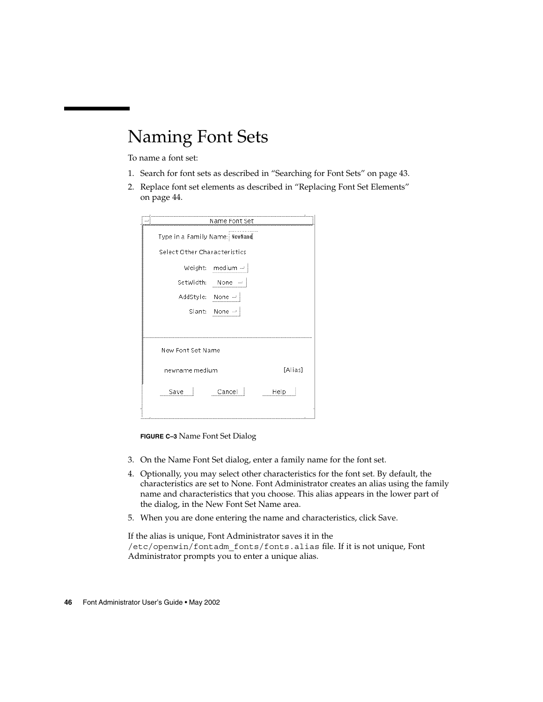# Naming Font Sets

To name a font set:

- 1. Search for font sets as described in "Searching for Font Sets" on page 43.
- 2. Replace font set elements as described in "Replacing Font Set Elements" on page 44.

| Name Font Set                  |                  |         |  |  |  |
|--------------------------------|------------------|---------|--|--|--|
| Type in a Family Name: NewName |                  |         |  |  |  |
| Select Other Characteristics   |                  |         |  |  |  |
|                                | Weight: medium - |         |  |  |  |
| SetWidth:                      | None<br>         |         |  |  |  |
| AddStyle: None                 |                  |         |  |  |  |
|                                | Slant: None --   |         |  |  |  |
|                                |                  |         |  |  |  |
| New Font Set Name              |                  |         |  |  |  |
| newname medium                 |                  | [Alias] |  |  |  |
| Save                           | Cancel<br>J.     | Help    |  |  |  |
|                                |                  |         |  |  |  |

**FIGURE C–3** Name Font Set Dialog

- 3. On the Name Font Set dialog, enter a family name for the font set.
- 4. Optionally, you may select other characteristics for the font set. By default, the characteristics are set to None. Font Administrator creates an alias using the family name and characteristics that you choose. This alias appears in the lower part of the dialog, in the New Font Set Name area.
- 5. When you are done entering the name and characteristics, click Save.

If the alias is unique, Font Administrator saves it in the /etc/openwin/fontadm\_fonts/fonts.alias file. If it is not unique, Font Administrator prompts you to enter a unique alias.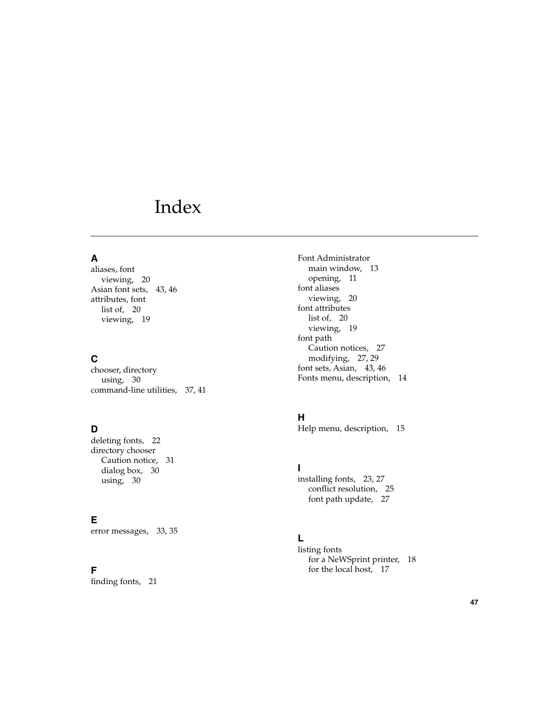# Index

#### **A**

aliases, font viewing, 20 Asian font sets, 43, 46 attributes, font list of, 20 viewing, 19

#### **C**

chooser, directory using, 30 command-line utilities, 37, 41

#### **D**

deleting fonts, 22 directory chooser Caution notice, 31 dialog box, 30 using, 30

#### **E**

error messages, 33, 35

#### **F**

finding fonts, 21

Font Administrator main window, 13 opening, 11 font aliases viewing, 20 font attributes list of, 20 viewing, 19 font path Caution notices, 27 modifying, 27, 29 font sets, Asian, 43, 46 Fonts menu, description, 14

#### **H**

Help menu, description, 15

**I**

installing fonts, 23, 27 con flict resolution, 25 font path update, 27

#### **L**

listing fonts for a NeWSprint printer, 18 for the local host, 17